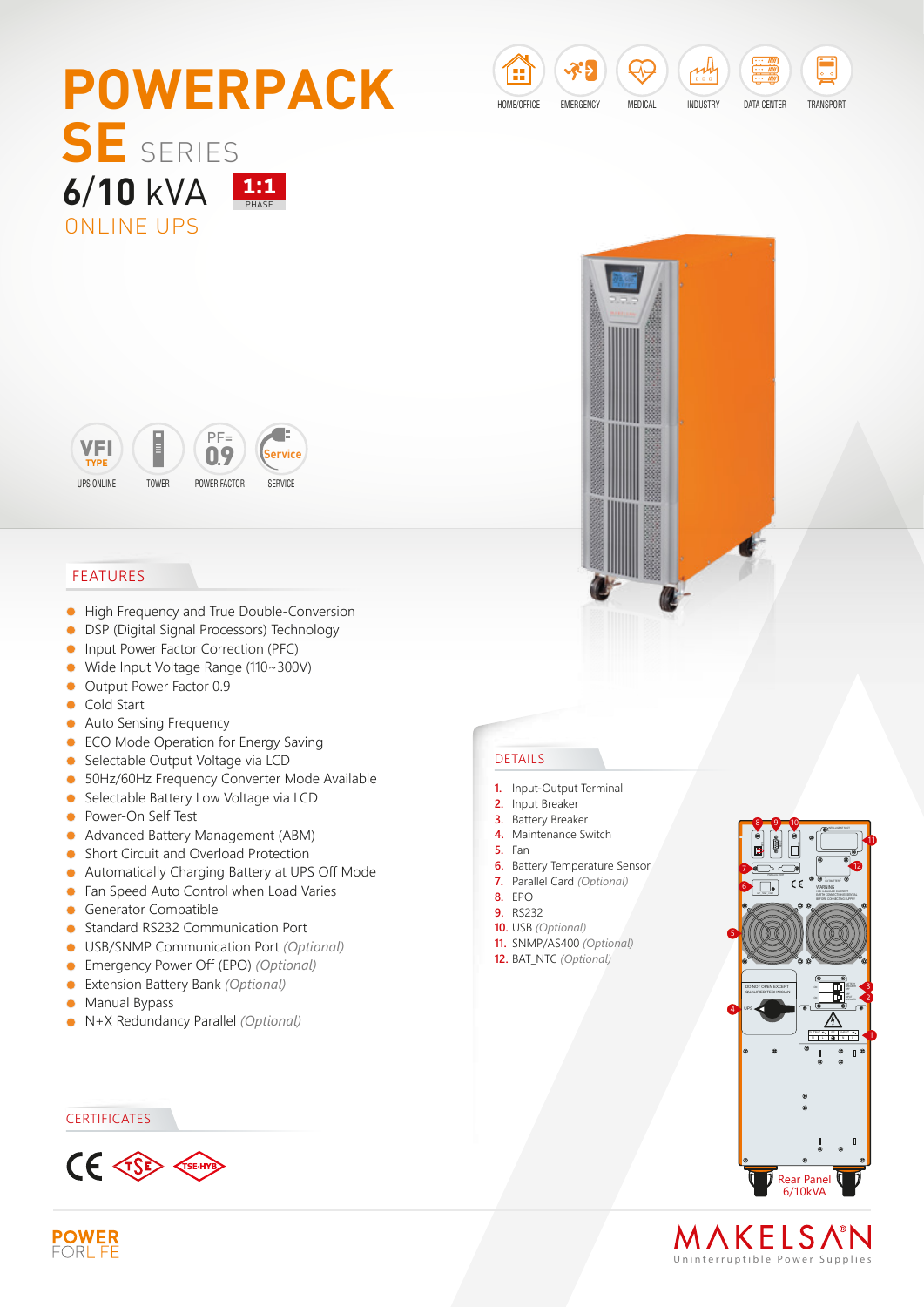





## FEATURES

- $\bullet$ High Frequency and True Double-Conversion
- DSP (Digital Signal Processors) Technology  $\bullet$
- $\bullet$ Input Power Factor Correction (PFC)
- Wide Input Voltage Range (110~300V)  $\bullet$
- Output Power Factor 0.9
- **Cold Start**
- Auto Sensing Frequency  $\bullet$
- **ECO Mode Operation for Energy Saving**
- Selectable Output Voltage via LCD
- 50Hz/60Hz Frequency Converter Mode Available
- **Selectable Battery Low Voltage via LCD**
- **•** Power-On Self Test
- Advanced Battery Management (ABM)
- **Short Circuit and Overload Protection**
- Automatically Charging Battery at UPS Off Mode  $\bullet$
- **•** Fan Speed Auto Control when Load Varies
- Generator Compatible
- $\bullet$ Standard RS232 Communication Port
- USB/SNMP Communication Port *(Optional)*
- Emergency Power Off (EPO) *(Optional)*  $\bullet$
- Extension Battery Bank *(Optional)*  $\bullet$
- $\bullet$ Manual Bypass
- N+X Redundancy Parallel *(Optional)*

## **CERTIFICATES**



## DETAILS

- **1.** Input-Output Terminal
- **2.** Input Breaker
- **3.** Battery Breaker
	- **4.** Maintenance Switch
	- **5.** Fan
	- **6.** Battery Temperature Sensor
	- **7.** Parallel Card *(Optional)*
	- **8.** EPO
	- **9.** RS232
	- **10.** USB *(Optional)*
	- **11.** SNMP/AS400 *(Optional)* **12.** BAT\_NTC *(Optional)*